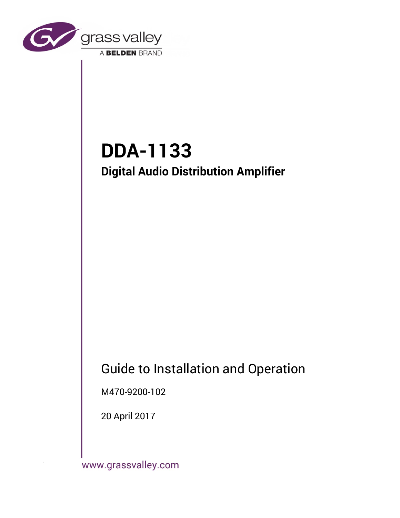

# **DDA-1133 Digital Audio Distribution Amplifier**

# Guide to Installation and Operation

M470-9200-102

20 April 2017

www.grassvalley.com

.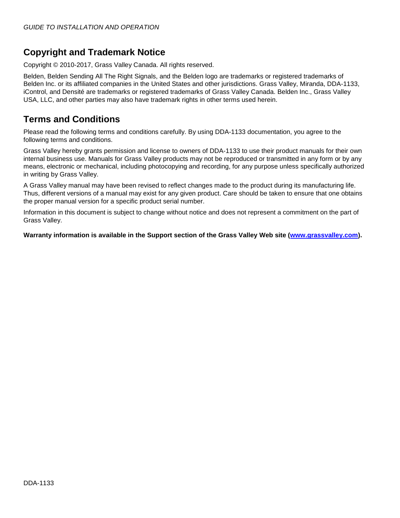# **Copyright and Trademark Notice**

Copyright © 2010-2017, Grass Valley Canada. All rights reserved.

Belden, Belden Sending All The Right Signals, and the Belden logo are trademarks or registered trademarks of Belden Inc. or its affiliated companies in the United States and other jurisdictions. Grass Valley, Miranda, DDA-1133, iControl, and Densité are trademarks or registered trademarks of Grass Valley Canada. Belden Inc., Grass Valley USA, LLC, and other parties may also have trademark rights in other terms used herein.

# **Terms and Conditions**

Please read the following terms and conditions carefully. By using DDA-1133 documentation, you agree to the following terms and conditions.

Grass Valley hereby grants permission and license to owners of DDA-1133 to use their product manuals for their own internal business use. Manuals for Grass Valley products may not be reproduced or transmitted in any form or by any means, electronic or mechanical, including photocopying and recording, for any purpose unless specifically authorized in writing by Grass Valley.

A Grass Valley manual may have been revised to reflect changes made to the product during its manufacturing life. Thus, different versions of a manual may exist for any given product. Care should be taken to ensure that one obtains the proper manual version for a specific product serial number.

Information in this document is subject to change without notice and does not represent a commitment on the part of Grass Valley.

**Warranty information is available in the Support section of the Grass Valley Web site [\(www.grassvalley.com\)](http://www.grassvalley.com/).**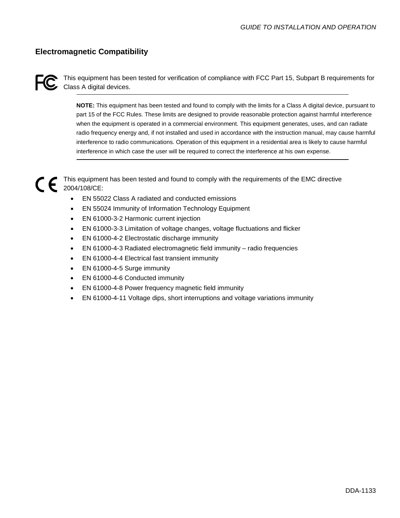# **Electromagnetic Compatibility**



This equipment has been tested for verification of compliance with FCC Part 15, Subpart B requirements for C ITIIS Equipment

> **NOTE:** This equipment has been tested and found to comply with the limits for a Class A digital device, pursuant to part 15 of the FCC Rules. These limits are designed to provide reasonable protection against harmful interference when the equipment is operated in a commercial environment. This equipment generates, uses, and can radiate radio frequency energy and, if not installed and used in accordance with the instruction manual, may cause harmful interference to radio communications. Operation of this equipment in a residential area is likely to cause harmful interference in which case the user will be required to correct the interference at his own expense.

This equipment has been tested and found to comply with the requirements of the EMC directive 2004/108/CE:

- EN 55022 Class A radiated and conducted emissions
- EN 55024 Immunity of Information Technology Equipment
- EN 61000-3-2 Harmonic current injection
- EN 61000-3-3 Limitation of voltage changes, voltage fluctuations and flicker
- EN 61000-4-2 Electrostatic discharge immunity
- EN 61000-4-3 Radiated electromagnetic field immunity radio frequencies
- EN 61000-4-4 Electrical fast transient immunity
- EN 61000-4-5 Surge immunity
- EN 61000-4-6 Conducted immunity
- EN 61000-4-8 Power frequency magnetic field immunity
- EN 61000-4-11 Voltage dips, short interruptions and voltage variations immunity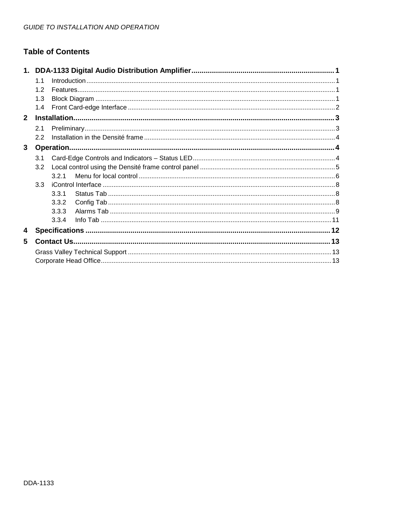# **Table of Contents**

|              | 1.1 |       |  |  |  |  |  |  |
|--------------|-----|-------|--|--|--|--|--|--|
|              |     |       |  |  |  |  |  |  |
|              | 1.3 |       |  |  |  |  |  |  |
| 1.4          |     |       |  |  |  |  |  |  |
| $\mathbf{2}$ |     |       |  |  |  |  |  |  |
|              | 2.1 |       |  |  |  |  |  |  |
|              | 2.2 |       |  |  |  |  |  |  |
| 3            |     |       |  |  |  |  |  |  |
|              | 3.1 |       |  |  |  |  |  |  |
|              | 3.2 |       |  |  |  |  |  |  |
|              |     | 3.2.1 |  |  |  |  |  |  |
|              | 33  |       |  |  |  |  |  |  |
|              |     | 3.3.1 |  |  |  |  |  |  |
|              |     | 3.3.2 |  |  |  |  |  |  |
|              |     | 3.3.3 |  |  |  |  |  |  |
|              |     | 334   |  |  |  |  |  |  |
| 4            |     |       |  |  |  |  |  |  |
| 5            |     |       |  |  |  |  |  |  |
|              |     |       |  |  |  |  |  |  |
|              |     |       |  |  |  |  |  |  |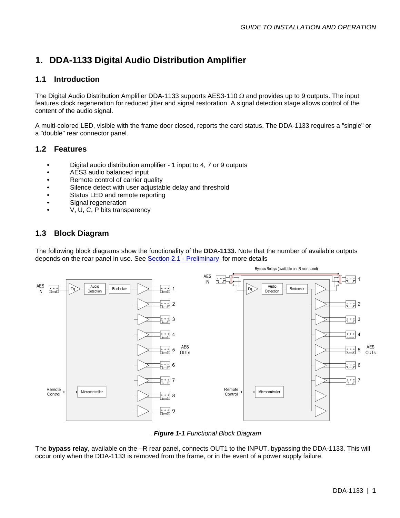# <span id="page-4-0"></span>**1. DDA-1133 Digital Audio Distribution Amplifier**

# <span id="page-4-1"></span>**1.1 Introduction**

The Digital Audio Distribution Amplifier DDA-1133 supports AES3-110 Ω and provides up to 9 outputs. The input features clock regeneration for reduced jitter and signal restoration. A signal detection stage allows control of the content of the audio signal.

A multi-colored LED, visible with the frame door closed, reports the card status. The DDA-1133 requires a "single" or a "double" rear connector panel.

## <span id="page-4-2"></span>**1.2 Features**

- Digital audio distribution amplifier 1 input to 4, 7 or 9 outputs
- AES3 audio balanced input
- Remote control of carrier quality
- Silence detect with user adjustable delay and threshold
- Status LED and remote reporting
- Signal regeneration
- V, U, C, P bits transparency

## <span id="page-4-3"></span>**1.3 Block Diagram**

The following block diagrams show the functionality of the **DDA-1133.** Note that the number of available outputs depends on the rear panel in use. See [Section 2.1 -](#page-6-1) Preliminary for more details



. *Figure 1-1 Functional Block Diagram*

The **bypass relay**, available on the –R rear panel, connects OUT1 to the INPUT, bypassing the DDA-1133. This will occur only when the DDA-1133 is removed from the frame, or in the event of a power supply failure.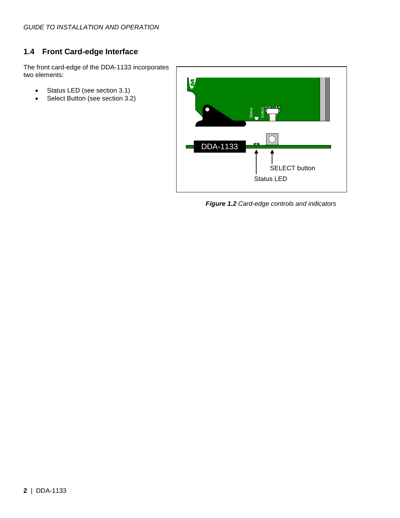# <span id="page-5-0"></span>**1.4 Front Card-edge Interface**

The front card-edge of the DDA-1133 incorporates two elements:

- Status LED (see section [3.1\)](#page-7-2)
- Select Button (see section [3.2\)](#page-8-0)



*Figure 1.2 Card-edge controls and indicators*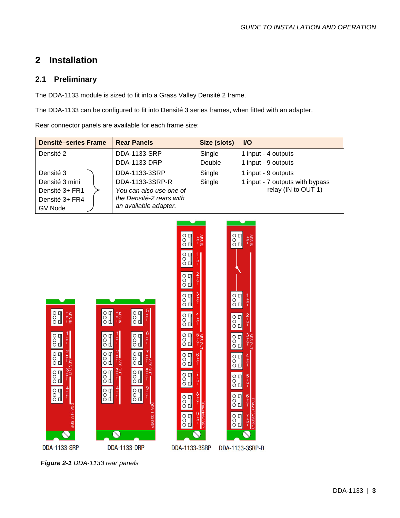# <span id="page-6-0"></span>**2 Installation**

### <span id="page-6-1"></span>**2.1 Preliminary**

The DDA-1133 module is sized to fit into a Grass Valley Densité 2 frame.

The DDA-1133 can be configured to fit into Densité 3 series frames, when fitted with an adapter.

Rear connector panels are available for each frame size:

| <b>Densité-series Frame</b>                                                | <b>Rear Panels</b>                                                                                               | Size (slots)     | <b>VO</b>                                                                     |
|----------------------------------------------------------------------------|------------------------------------------------------------------------------------------------------------------|------------------|-------------------------------------------------------------------------------|
| Densité 2                                                                  | DDA-1133-SRP<br>DDA-1133-DRP                                                                                     | Single<br>Double | 1 input - 4 outputs<br>1 input - 9 outputs                                    |
| Densité 3<br>Densité 3 mini<br>Densité 3+ FR1<br>Densité 3+ FR4<br>GV Node | DDA-1133-3SRP<br>DDA-1133-3SRP-R<br>You can also use one of<br>the Densité-2 rears with<br>an available adapter. | Single<br>Single | 1 input - 9 outputs<br>1 input - 7 outputs with bypass<br>relay (IN to OUT 1) |



*Figure 2-1 DDA-1133 rear panels*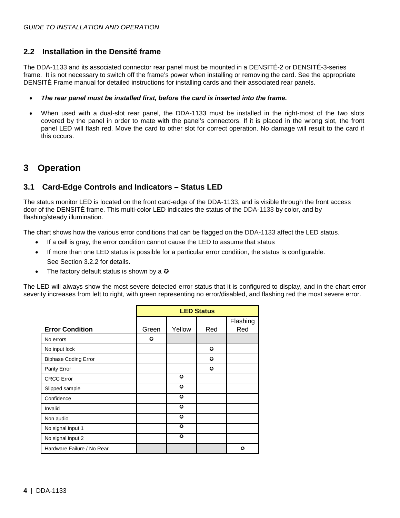### <span id="page-7-0"></span>**2.2 Installation in the Densité frame**

The DDA-1133 and its associated connector rear panel must be mounted in a DENSITÉ-2 or DENSITÉ-3-series frame. It is not necessary to switch off the frame's power when installing or removing the card. See the appropriate DENSITÉ Frame manual for detailed instructions for installing cards and their associated rear panels.

#### • *The rear panel must be installed first, before the card is inserted into the frame.*

• When used with a dual-slot rear panel, the DDA-1133 must be installed in the right-most of the two slots covered by the panel in order to mate with the panel's connectors. If it is placed in the wrong slot, the front panel LED will flash red. Move the card to other slot for correct operation. No damage will result to the card if this occurs.

# <span id="page-7-1"></span>**3 Operation**

### <span id="page-7-2"></span>**3.1 Card-Edge Controls and Indicators – Status LED**

The status monitor LED is located on the front card-edge of the DDA-1133, and is visible through the front access door of the DENSITÉ frame. This multi-color LED indicates the status of the DDA-1133 by color, and by flashing/steady illumination.

The chart shows how the various error conditions that can be flagged on the DDA-1133 affect the LED status.

- If a cell is gray, the error condition cannot cause the LED to assume that status
- If more than one LED status is possible for a particular error condition, the status is configurable. See Section [3.2.2](#page-8-0) for details.
- The factory default status is shown by a  $\Omega$

The LED will always show the most severe detected error status that it is configured to display, and in the chart error severity increases from left to right, with green representing no error/disabled, and flashing red the most severe error.

|                             |       |           | <b>LED Status</b> |                 |
|-----------------------------|-------|-----------|-------------------|-----------------|
| <b>Error Condition</b>      | Green | Yellow    | Red               | Flashing<br>Red |
| No errors                   | ٥     |           |                   |                 |
| No input lock               |       |           | $\bullet$         |                 |
| <b>Biphase Coding Error</b> |       |           | o                 |                 |
| Parity Error                |       |           | $\bullet$         |                 |
| <b>CRCC</b> Error           |       | O         |                   |                 |
| Slipped sample              |       | $\bullet$ |                   |                 |
| Confidence                  |       | ٥         |                   |                 |
| Invalid                     |       | $\bullet$ |                   |                 |
| Non audio                   |       | O         |                   |                 |
| No signal input 1           |       | $\bullet$ |                   |                 |
| No signal input 2           |       | ٥         |                   |                 |
| Hardware Failure / No Rear  |       |           |                   | О               |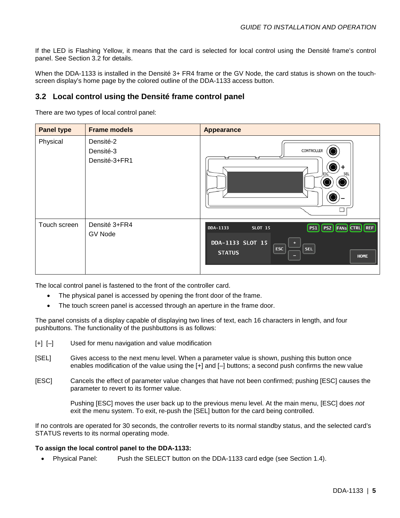If the LED is Flashing Yellow, it means that the card is selected for local control using the Densité frame's control panel. See Section [3.2](#page-8-0) for details.

When the DDA-1133 is installed in the Densité 3+ FR4 frame or the GV Node, the card status is shown on the touchscreen display's home page by the colored outline of the DDA-1133 access button.

### <span id="page-8-0"></span>**3.2 Local control using the Densité frame control panel**

There are two types of local control panel:

| <b>Panel type</b> | <b>Frame models</b>                     | <b>Appearance</b>                                                                                                                             |
|-------------------|-----------------------------------------|-----------------------------------------------------------------------------------------------------------------------------------------------|
| Physical          | Densité-2<br>Densité-3<br>Densité-3+FR1 | CONTROLLER<br>SEL                                                                                                                             |
| Touch screen      | Densité 3+FR4<br><b>GV Node</b>         | DDA-1133<br><b>SLOT 15</b><br>PS1<br><b>PS2 FANS CTRL</b> REF<br>DDA-1133 SLOT 15<br><b>ESC</b><br><b>SEL</b><br><b>STATUS</b><br><b>HOME</b> |

The local control panel is fastened to the front of the controller card.

- The physical panel is accessed by opening the front door of the frame.
- The touch screen panel is accessed through an aperture in the frame door.

The panel consists of a display capable of displaying two lines of text, each 16 characters in length, and four pushbuttons. The functionality of the pushbuttons is as follows:

- [+] [–] Used for menu navigation and value modification
- [SEL] Gives access to the next menu level. When a parameter value is shown, pushing this button once enables modification of the value using the [+] and [–] buttons; a second push confirms the new value
- [ESC] Cancels the effect of parameter value changes that have not been confirmed; pushing [ESC] causes the parameter to revert to its former value.

Pushing [ESC] moves the user back up to the previous menu level. At the main menu, [ESC] does *not* exit the menu system. To exit, re-push the [SEL] button for the card being controlled.

If no controls are operated for 30 seconds, the controller reverts to its normal standby status, and the selected card's STATUS reverts to its normal operating mode.

#### **To assign the local control panel to the DDA-1133:**

Physical Panel: Push the SELECT button on the DDA-1133 card edge (see Section [1.4\)](#page-5-0).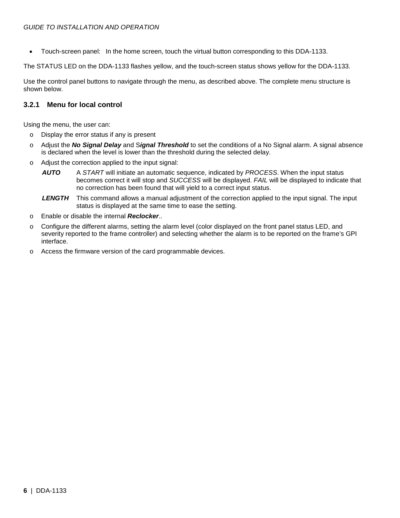• Touch-screen panel: In the home screen, touch the virtual button corresponding to this DDA-1133.

The STATUS LED on the DDA-1133 flashes yellow, and the touch-screen status shows yellow for the DDA-1133.

Use the control panel buttons to navigate through the menu, as described above. The complete menu structure is shown below.

### <span id="page-9-0"></span>**3.2.1 Menu for local control**

Using the menu, the user can:

- o Display the error status if any is present
- o Adjust the *No Signal Delay* and S*ignal Threshold* to set the conditions of a No Signal alarm. A signal absence is declared when the level is lower than the threshold during the selected delay.
- o Adjust the correction applied to the input signal:
	- *AUTO* A *START* will initiate an automatic sequence, indicated by *PROCESS*. When the input status becomes correct it will stop and *SUCCESS* will be displayed. *FAIL* will be displayed to indicate that no correction has been found that will yield to a correct input status.
	- *LENGTH* This command allows a manual adjustment of the correction applied to the input signal. The input status is displayed at the same time to ease the setting.
- o Enable or disable the internal *Reclocker*..
- o Configure the different alarms, setting the alarm level (color displayed on the front panel status LED, and severity reported to the frame controller) and selecting whether the alarm is to be reported on the frame's GPI interface.
- o Access the firmware version of the card programmable devices.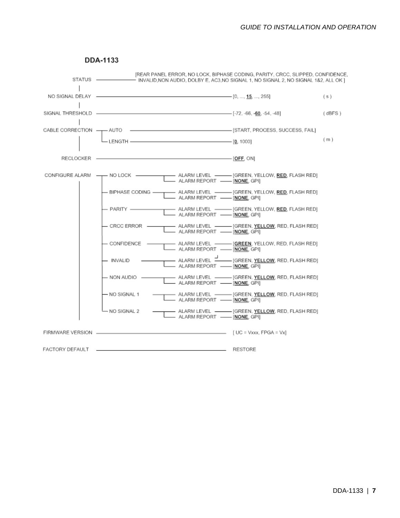<span id="page-10-0"></span>

#### **DDA-1133**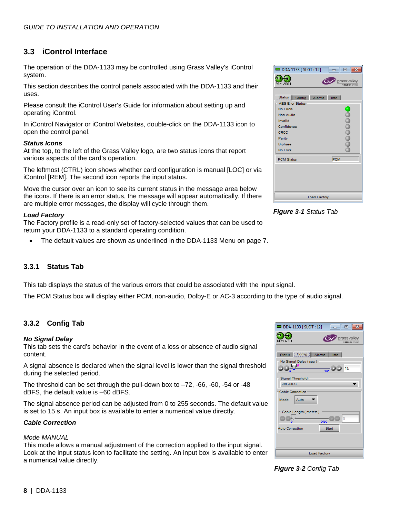### <span id="page-11-0"></span>**3.3 iControl Interface**

The operation of the DDA-1133 may be controlled using Grass Valley's iControl system.

This section describes the control panels associated with the DDA-1133 and their uses.

Please consult the iControl User's Guide for information about setting up and operating iControl.

In iControl Navigator or iControl Websites, double-click on the DDA-1133 icon to open the control panel.

#### *Status Icons*

At the top, to the left of the Grass Valley logo, are two status icons that report various aspects of the card's operation.

The leftmost (CTRL) icon shows whether card configuration is manual [LOC] or via iControl [REM]. The second icon reports the input status.

Move the cursor over an icon to see its current status in the message area below the icons. If there is an error status, the message will appear automatically. If there are multiple error messages, the display will cycle through them.

#### *Load Factory*

The Factory profile is a read-only set of factory-selected values that can be used to return your DDA-1133 to a standard operating condition.

The default values are shown as *underlined* in the DDA-1133 Menu on page [7.](#page-10-0)

#### <span id="page-11-1"></span>**3.3.1 Status Tab**

This tab displays the status of the various errors that could be associated with the input signal.

The PCM Status box will display either PCM, non-audio, Dolby-E or AC-3 according to the type of audio signal.

#### <span id="page-11-2"></span>**3.3.2 Config Tab**

#### *No Signal Delay*

This tab sets the card's behavior in the event of a loss or absence of audio signal content.

A signal absence is declared when the signal level is lower than the signal threshold during the selected period.

The threshold can be set through the pull-down box to  $-72$ ,  $-66$ ,  $-60$ ,  $-54$  or  $-48$ dBFS, the default value is –60 dBFS.

The signal absence period can be adjusted from 0 to 255 seconds. The default value is set to 15 s. An input box is available to enter a numerical value directly.

#### *Cable Correction*

#### *Mode MANUAL*

This mode allows a manual adjustment of the correction applied to the input signal. Look at the input status icon to facilitate the setting. An input box is available to enter a numerical value directly.

| <b>EDDA-1133 [SLOT:12]</b>                                                                                                                                                | $-x$<br><b>Louil O</b>         |
|---------------------------------------------------------------------------------------------------------------------------------------------------------------------------|--------------------------------|
| CTRL)<br>REM AES 1                                                                                                                                                        | grassvalley<br>A BELOEN ISSUED |
| Status Config<br>Alarms<br><b>AES Error Status</b><br><b>No Errors</b><br>Non Audio<br>Invalid<br>Confidence<br><b>CRCC</b><br>Parity<br><b>Biphase</b><br><b>No Lock</b> | Info                           |
| <b>PCM Status</b>                                                                                                                                                         | PCM                            |
| <b>Load Factory</b>                                                                                                                                                       |                                |
|                                                                                                                                                                           |                                |

*Figure 3-1 Status Tab*

| DDA-1133 [ SLOT : 12]                                                                   |
|-----------------------------------------------------------------------------------------|
| CTRL)<br><b>grassvalley</b><br>REM AES1<br>A BELDEN ISSUED                              |
| Config   Alarms<br><b>Status</b><br>Info<br>No Signal Delay (sec)<br>la d               |
| $\frac{1}{255}$ 3 3 15<br>ñ<br>Signal Threshold<br>$-60$ dBFS                           |
| <b>Cable Correction</b><br>Mode<br>Auto                                                 |
| Cable Length (meters)<br>$\overline{0}$<br>2500<br>ñ<br><b>Auto Correction</b><br>Start |
| <b>Load Factory</b>                                                                     |

*Figure 3-2 Config Tab*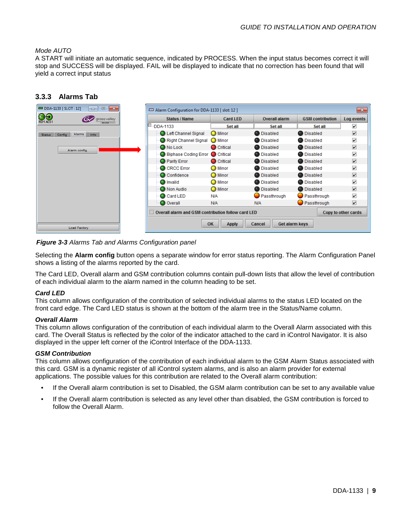#### *Mode AUTO*

A START will initiate an automatic sequence, indicated by PROCESS. When the input status becomes correct it will stop and SUCCESS will be displayed. FAIL will be displayed to indicate that no correction has been found that will yield a correct input status

#### <span id="page-12-0"></span>**3.3.3 Alarms Tab**

| DDA-1133 [ SLOT : 12]<br>$\mathbf{x}$<br>$\Box$<br>$\Box$                                   | Alarm Configuration for DDA-1133 [slot: 12]        |                    |                          |                         | $-x$                    |
|---------------------------------------------------------------------------------------------|----------------------------------------------------|--------------------|--------------------------|-------------------------|-------------------------|
| $CTR$ <sub><math>\rightarrow</math></sub><br>crass valley<br>REM AES 1<br><b>BELDEN IVU</b> | <b>Status / Name</b>                               | <b>Card LED</b>    | <b>Overall alarm</b>     | <b>GSM</b> contribution | Log events              |
|                                                                                             | E<br>DDA-1133                                      | Set all            | Set all                  | Set all                 | ☑                       |
| Alarms Info<br>Config<br><b>Status</b>                                                      | Left Channel Signal                                | <b>O</b> Minor     | <b>Disabled</b>          | <b>Disabled</b>         | $\overline{\mathbf{v}}$ |
|                                                                                             | Right Channel Signal                               | C Minor            | <b>Disabled</b>          | <b>Disabled</b>         | $\overline{\mathbf{v}}$ |
| Alarm config.                                                                               | No Lock                                            | Critical           | <b>Disabled</b>          | <b>Disabled</b>         | $\overline{\mathbf{v}}$ |
|                                                                                             | Biphase Coding Error C Critical                    |                    | <b>Disabled</b>          | <b>Disabled</b>         | ☑                       |
|                                                                                             | <b>O</b> Parity Error                              | Critical           | <b>Disabled</b>          | <b>Disabled</b>         | $\overline{\mathbf{v}}$ |
|                                                                                             | C CRCC Error                                       | <b>O</b> Minor     | <b>Disabled</b>          | <b>Disabled</b>         | ☑                       |
|                                                                                             | Confidence                                         | <b>O</b> Minor     | <b>Disabled</b>          | <b>Disabled</b>         | $\overline{\mathbf{v}}$ |
|                                                                                             | <b>O</b> Invalid                                   | $\bigcirc$ Minor   | <b>Disabled</b>          | <b>Disabled</b>         | ☑                       |
|                                                                                             | Non Audio                                          | <b>O</b> Minor     | <b>Disabled</b>          | <b>Disabled</b>         | $\overline{\mathbf{v}}$ |
|                                                                                             | Card LED                                           | <b>N/A</b>         | Passthrough              | Passthrough             | ☑                       |
|                                                                                             | O Overall                                          | <b>N/A</b>         | N/A                      | Passthrough             | ☑                       |
|                                                                                             | Overall alarm and GSM contribution follow card LED |                    |                          |                         | Copy to other cards     |
| <b>Load Factory</b>                                                                         |                                                    | OK<br><b>Apply</b> | Cancel<br>Get alarm keys |                         |                         |

*Figure 3-3 Alarms Tab and Alarms Configuration panel*

Selecting the **Alarm config** button opens a separate window for error status reporting. The Alarm Configuration Panel shows a listing of the alarms reported by the card.

The Card LED, Overall alarm and GSM contribution columns contain pull-down lists that allow the level of contribution of each individual alarm to the alarm named in the column heading to be set.

#### *Card LED*

This column allows configuration of the contribution of selected individual alarms to the status LED located on the front card edge. The Card LED status is shown at the bottom of the alarm tree in the Status/Name column.

#### *Overall Alarm*

This column allows configuration of the contribution of each individual alarm to the Overall Alarm associated with this card. The Overall Status is reflected by the color of the indicator attached to the card in iControl Navigator. It is also displayed in the upper left corner of the iControl Interface of the DDA-1133.

#### *GSM Contribution*

This column allows configuration of the contribution of each individual alarm to the GSM Alarm Status associated with this card. GSM is a dynamic register of all iControl system alarms, and is also an alarm provider for external applications. The possible values for this contribution are related to the Overall alarm contribution:

- If the Overall alarm contribution is set to Disabled, the GSM alarm contribution can be set to any available value
- If the Overall alarm contribution is selected as any level other than disabled, the GSM contribution is forced to follow the Overall Alarm.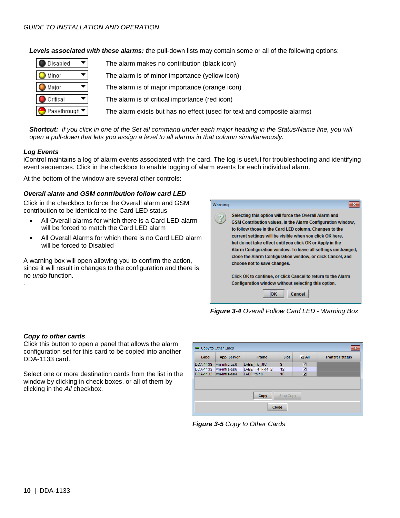#### *GUIDE TO INSTALLATION AND OPERATION*

*Levels associated with these alarms: t*he pull-down lists may contain some or all of the following options:

| Disabled                                | The alarm makes no contribution (black icon)                            |
|-----------------------------------------|-------------------------------------------------------------------------|
| Minor                                   | The alarm is of minor importance (yellow icon)                          |
| Major                                   | The alarm is of major importance (orange icon)                          |
| Critical                                | The alarm is of critical importance (red icon)                          |
| Passthrough $\blacktriangledown$ $\mid$ | The alarm exists but has no effect (used for text and composite alarms) |

*Shortcut: if you click in one of the Set all command under each major heading in the Status/Name line, you will open a pull-down that lets you assign a level to all alarms in that column simultaneously.*

#### *Log Events*

iControl maintains a log of alarm events associated with the card. The log is useful for troubleshooting and identifying event sequences. Click in the checkbox to enable logging of alarm events for each individual alarm.

At the bottom of the window are several other controls:

#### *Overall alarm and GSM contribution follow card LED*

Click in the checkbox to force the Overall alarm and GSM contribution to be identical to the Card LED status

- All Overall alarms for which there is a Card LED alarm will be forced to match the Card LED alarm
- All Overall Alarms for which there is no Card LED alarm will be forced to Disabled

A warning box will open allowing you to confirm the action, since it will result in changes to the configuration and there is no *undo* function.



*Figure 3-4 Overall Follow Card LED - Warning Box*

#### *Copy to other cards*

.

Click this button to open a panel that allows the alarm configuration set for this card to be copied into another DDA-1133 card.

Select one or more destination cards from the list in the window by clicking in check boxes, or all of them by clicking in the *All* checkbox.

|                                 |              |               | <b>Slot</b> | $V$ All                 | <b>Transfer status</b> |  |
|---------------------------------|--------------|---------------|-------------|-------------------------|------------------------|--|
| <b>DDA-1133</b>                 | vm-infra-as6 | LABE_T5_JIG   | 3           | ☑                       |                        |  |
| <b>DDA-1133</b>                 | vm-infra-as6 | LABE_T4_FR4_2 | 12          | ☑                       |                        |  |
| DDA-1133                        | vm-infra-as4 | LABF tbl10    | 16          | $\overline{\mathbf{r}}$ |                        |  |
| <b>Stop Copy</b><br><b>Copy</b> |              |               |             |                         |                        |  |

*Figure 3-5 Copy to Other Cards*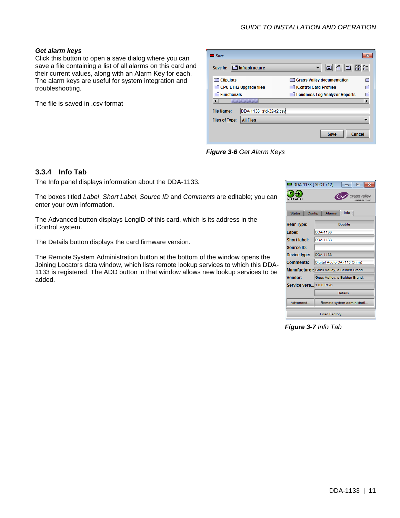### *GUIDE TO INSTALLATION AND OPERATION*

#### *Get alarm keys*

Click this button to open a save dialog where you can save a file containing a list of all alarms on this card and their current values, along with an Alarm Key for each. The alarm keys are useful for system integration and troubleshooting.

The file is saved in .csv format

| <b>Bu</b> Save        |                                   |                                                 |
|-----------------------|-----------------------------------|-------------------------------------------------|
| Save In:              | $\bar{\mathbb{1}}$ Infrastructure | $\mathbb{B}^n$<br>BE-<br>$\Box$<br>$\mathbf{d}$ |
| <b>ClipLists</b>      |                                   | Grass Valley documentation                      |
|                       | CPU-ETH2 Upgrade files            | <b>Control Card Profiles</b>                    |
| Functionals           |                                   | Loudness Log Analyzer Reports                   |
|                       |                                   |                                                 |
| <b>File Name:</b>     | DDA-1133 std-32-r2.csv            |                                                 |
| <b>Files of Type:</b> | <b>All Files</b>                  |                                                 |
|                       |                                   | Cancel<br>Save                                  |

*Figure 3-6 Get Alarm Keys*

#### <span id="page-14-0"></span>**3.3.4 Info Tab**

The Info panel displays information about the DDA-1133.

The boxes titled *Label*, *Short Label*, *Source ID* and *Comments* are editable; you can enter your own information.

The Advanced button displays LongID of this card, which is its address in the iControl system.

The Details button displays the card firmware version.

The Remote System Administration button at the bottom of the window opens the Joining Locators data window, which lists remote lookup services to which this DDA-1133 is registered. The ADD button in that window allows new lookup services to be added.

| <b>EDDA-1133 [SLOT:12]</b><br>- 0 8                                  |                                             |  |  |  |  |
|----------------------------------------------------------------------|---------------------------------------------|--|--|--|--|
| CTRL <sup>1</sup><br>grass valley<br>REM AES1<br><b>FLORN FELIND</b> |                                             |  |  |  |  |
| Config Alarms Info<br><b>Status</b>                                  |                                             |  |  |  |  |
| <b>Rear Type:</b>                                                    | Double                                      |  |  |  |  |
| I abel:                                                              | DDA-1133                                    |  |  |  |  |
| <b>Short label:</b>                                                  | <b>DDA-1133</b>                             |  |  |  |  |
| Source ID:                                                           |                                             |  |  |  |  |
| Device type:                                                         | DDA-1133                                    |  |  |  |  |
| <b>Comments:</b>                                                     | Digital Audio DA (110 Ohms)                 |  |  |  |  |
|                                                                      | Manufacturer; Grass Valley, a Belden Brand. |  |  |  |  |
| <b>Vendor:</b>                                                       | Grass Valley, a Belden Brand.               |  |  |  |  |
| Service vers 1.0.0.RC-6                                              |                                             |  |  |  |  |
|                                                                      | Details                                     |  |  |  |  |
| Advanced                                                             | Remote system administrati.                 |  |  |  |  |
| <b>Load Factory</b>                                                  |                                             |  |  |  |  |

*Figure 3-7 Info Tab*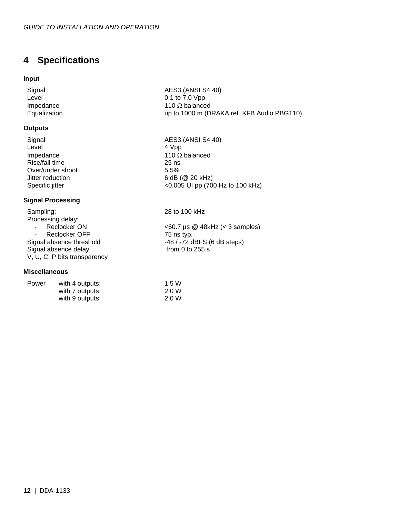# <span id="page-15-0"></span>**4 Specifications**

#### **Input**

#### **Outputs**

Level 4 Vpp Impedance 110 Ω balanced<br>Rise/fall time 25 ns Rise/fall time 25 ns<br>
Over/under shoot 5.5% Over/under shoot<br>Jitter reduction Jitter reduction 6 dB (@ 20 kHz)<br>Specific jitter <0.005 UI pp (70

#### **Signal Processing**

Sampling: 28 to 100 kHz Processing delay:<br>- Reclocker ON - Reclocker OFF 75 ns typ.<br>Signal absence threshold 72 c 48 / -72 c Signal absence delay V, U, C, P bits transparency

#### **Miscellaneous**

| Power | with 4 outputs: | 1.5 W |
|-------|-----------------|-------|
|       | with 7 outputs: | 2.0 W |
|       | with 9 outputs: | 2.0 W |

Signal AES3 (ANSI S4.40)<br>Level 0.1 to 7.0 Vpp Level  $0.1$  to 7.0 Vpp Impedance  $110 \Omega$  balance Impedance 110  $\Omega$  balanced<br>Equalization 1000 m (D up to 1000 m (DRAKA ref. KFB Audio PBG110)

Signal AES3 (ANSI S4.40)<br>Level 4 Voo <0.005 UI pp (700 Hz to 100 kHz)

- Reclocker ON  $\leq 60.7$  µs @ 48kHz (< 3 samples) -48 / -72 dBFS (6 dB steps)<br>from 0 to 255 s